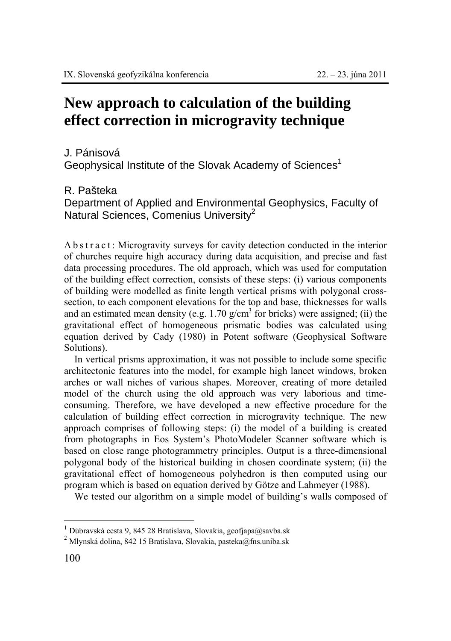# **New approach to calculation of the building effect correction in microgravity technique**

## J. Pánisová

Geophysical Institute of the Slovak Academy of Sciences<sup>1</sup>

## R. Pašteka

Department of Applied and Environmental Geophysics, Faculty of Natural Sciences, Comenius University $^2$ 

A b s t r a c t : Microgravity surveys for cavity detection conducted in the interior of churches require high accuracy during data acquisition, and precise and fast data processing procedures. The old approach, which was used for computation of the building effect correction, consists of these steps: (i) various components of building were modelled as finite length vertical prisms with polygonal crosssection, to each component elevations for the top and base, thicknesses for walls and an estimated mean density (e.g.  $1.70$  g/cm<sup>3</sup> for bricks) were assigned; (ii) the gravitational effect of homogeneous prismatic bodies was calculated using equation derived by Cady (1980) in Potent software (Geophysical Software Solutions).

In vertical prisms approximation, it was not possible to include some specific architectonic features into the model, for example high lancet windows, broken arches or wall niches of various shapes. Moreover, creating of more detailed model of the church using the old approach was very laborious and timeconsuming. Therefore, we have developed a new effective procedure for the calculation of building effect correction in microgravity technique. The new approach comprises of following steps: (i) the model of a building is created from photographs in Eos System's PhotoModeler Scanner software which is based on close range photogrammetry principles. Output is a three-dimensional polygonal body of the historical building in chosen coordinate system; (ii) the gravitational effect of homogeneous polyhedron is then computed using our program which is based on equation derived by Götze and Lahmeyer (1988).

We tested our algorithm on a simple model of building's walls composed of

 $\overline{a}$ 

 $1$  Dúbravská cesta 9, 845 28 Bratislava, Slovakia, geofjapa@savba.sk

<sup>&</sup>lt;sup>2</sup> Mlynská dolina, 842 15 Bratislava, Slovakia, pasteka@fns.uniba.sk